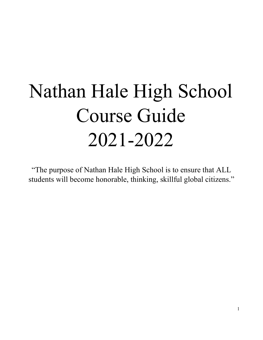# <span id="page-0-0"></span>Nathan Hale High School Course Guide 2021-2022

"The purpose of Nathan Hale High School is to ensure that ALL students will become honorable, thinking, skillful global citizens."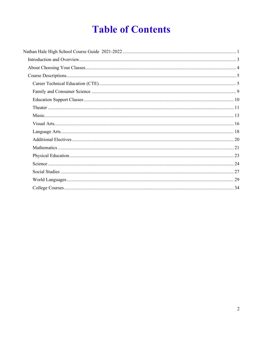# **Table of Contents**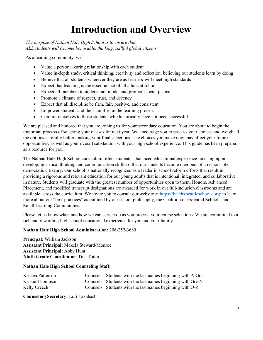# **Introduction and Overview**

<span id="page-2-0"></span>*The purpose of Nathan Hale High School is to ensure that ALL students will become honorable, thinking, skillful global citizens.*

As a learning community, we:

- Value a personal caring relationship with each student
- Value in-depth study, critical thinking, creativity and reflection, believing our students learn by doing
- Believe that all students-wherever they are as learners-will meet high standards
- Expect that teaching is the essential act of all adults at school
- Expect all members to understand, model and promote social justice
- Promote a climate of respect, trust, and decency
- Expect that all discipline be firm, fair, positive, and consistent
- Empower students and their families in the learning process
- Commit ourselves to those students who historically have not been successful

We are pleased and honored that you are joining us for your secondary education. You are about to begin the important process of selecting your classes for next year. We encourage you to process your choices and weigh all the options carefully before making your final selections. The choices you make now may affect your future opportunities, as well as your overall satisfaction with your high school experience. This guide has been prepared as a resource for you.

The Nathan Hale High School curriculum offers students a balanced educational experience focusing upon developing critical thinking and communication skills so that our students become members of a responsible, democratic citizenry. Our school is nationally recognized as a leader in school reform efforts that result in providing a rigorous and relevant education for our young adults that is intentional, integrated, and collaborative in nature. Students will graduate with the greatest number of opportunities open to them. Honors, Advanced Placement, and modified transcript designations are awarded for work in our full-inclusion classrooms and are available across the curriculum. We invite you to consult our website at<https://halehs.seattleschools.org/> to learn more about our "best practices" as outlined by our school philosophy, the Coalition of Essential Schools, and Small Learning Communities.

Please let us know when and how we can serve you as you process your course selections. We are committed to a rich and rewarding high school educational experience for you and your family.

#### **Nathan Hale High School Administration:** 206-252-3680

**Principal:** William Jackson **Assistant Principal:** Makela Steward-Monroe **Assistant Principal:** Abby Hunt **Ninth Grade Coordinator:** Tina Tudor

#### **Nathan Hale High School Counseling Staff:**

| Kristen Patterson | Counsels: Students with the last names beginning with A-Gra |
|-------------------|-------------------------------------------------------------|
| Kristie Thompson  | Counsels: Students with the last names beginning with Gre-N |
| Kelly Creech      | Counsels: Students with the last names beginning with O-Z   |

**Counseling Secretary:** Lori Takahashi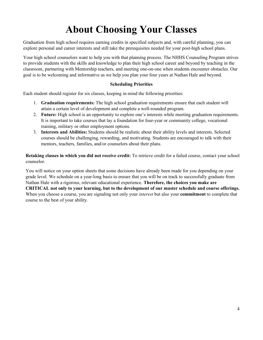# **About Choosing Your Classes**

<span id="page-3-0"></span>Graduation from high school requires earning credits in specified subjects and, with careful planning, you can explore personal and career interests and still take the prerequisites needed for your post-high school plans.

Your high school counselors want to help you with that planning process. The NHHS Counseling Program strives to provide students with the skills and knowledge to plan their high school career and beyond by teaching in the classroom, partnering with Mentorship teachers, and meeting one-on-one when students encounter obstacles. Our goal is to be welcoming and informative as we help you plan your four years at Nathan Hale and beyond.

#### **Scheduling Priorities**

Each student should register for six classes, keeping in mind the following priorities:

- 1. **Graduation requirements:** The high school graduation requirements ensure that each student will attain a certain level of development and complete a well-rounded program.
- 2. **Future:** High school is an opportunity to explore one's interests while meeting graduation requirements. It is important to take courses that lay a foundation for four-year or community college, vocational training, military or other employment options.
- 3. **Interests and Abilities:** Students should be realistic about their ability levels and interests. Selected courses should be challenging, rewarding, and motivating. Students are encouraged to talk with their mentors, teachers, families, and/or counselors about their plans.

**Retaking classes in which you did not receive credit:** To retrieve credit for a failed course, contact your school counselor.

You will notice on your option sheets that some decisions have already been made for you depending on your grade level. We schedule on a year-long basis to ensure that you will be on track to successfully graduate from Nathan Hale with a rigorous, relevant educational experience. **Therefore, the choices you make are CRITICAL not only to your learning, but to the development of our master schedule and course offerings.**  When you choose a course, you are signaling not only your *interest* but also your **commitment** to complete that course to the best of your ability.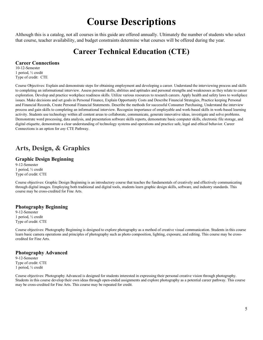# **Course Descriptions**

<span id="page-4-0"></span>Although this is a catalog, not all courses in this guide are offered annually. Ultimately the number of students who select that course, teacher availability, and budget constraints determine what courses will be offered during the year.

# **Career Technical Education (CTE)**

#### <span id="page-4-1"></span>**Career Connections**

10-12-Semester 1 period, ½ credit Type of credit: CTE

Course Objectives: Explain and demonstrate steps for obtaining employment and developing a career. Understand the interviewing process and skills to completing an informational interview. Assess personal skills, abilities and aptitudes and personal strengths and weaknesses as they relate to career exploration. Develop and practice workplace readiness skills. Utilize various resources to research careers. Apply health and safety laws to workplace issues. Make decisions and set goals in Personal Finance, Explain Opportunity Costs and Describe Financial Strategies, Practice keeping Personal and Financial Records, Create Personal Financial Statements. Describe the methods for successful Consumer Purchasing, Understand the interview process and gain skills to completing an informational interview. Recognize importance of employable and work-based skills in work-based learning activity. Students use technology within all content areas to collaborate, communicate, generate innovative ideas, investigate and solve problems. Demonstrate word processing, data analysis, and presentation software skills reports, demonstrate basic computer skills, electronic file storage, and digital etiquette, demonstrate a clear understanding of technology systems and operations and practice safe, legal and ethical behavior. Career Connections is an option for *any* CTE Pathway.

### **Arts, Design, & Graphics**

#### **Graphic Design Beginning**

9-12-Semester 1 period, ½ credit Type of credit: CTE

Course objectives: Graphic Design Beginning is an introductory course that teaches the fundamentals of creatively and effectively communicating through digital images. Employing both traditional and digital tools, students learn graphic design skills, software, and industry standards. This course may be cross-credited for Fine Arts.

#### **Photography Beginning**

9-12-Semester 1 period, ½ credit Type of credit: CTE

Course objectives: Photography Beginning is designed to explore photography as a method of creative visual communication. Students in this course learn basic camera operations and principles of photography such as photo composition, lighting, exposure, and editing. This course may be crosscredited for Fine Arts.

#### **Photography Advanced**

9-12-Semester Type of credit: CTE 1 period, ½ credit

Course objectives: Photography Advanced is designed for students interested in expressing their personal creative vision through photography. Students in this course develop their own ideas through open-ended assignments and explore photography as a potential career pathway. This course may be cross-credited for Fine Arts. This course may be repeated for credit.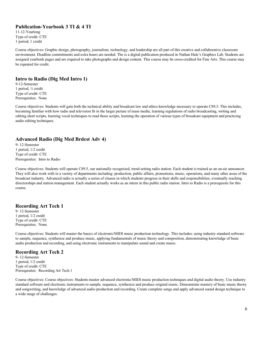#### **Publication-Yearbook 3 TI & 4 TI**

11-12-Yearlong Type of credit: CTE 1 period, 1 credit

Course objectives: Graphic design, photography, journalism, technology, and leadership are all part of this creative and collaborative classroom environment. Deadline commitments and extra hours are needed. The is a digital publication produced in Nathan Hale's Graphics Lab. Students are assigned yearbook pages and are required to take photographs and design content. This course may be cross-credited for Fine Arts. This course may be repeated for credit.

#### **Intro to Radio (Dig Med Intro 1)**

9-12-Semester 1 period, ½ credit Type of credit: CTE Prerequisites: None

Course objectives: Students will gain both the technical ability and broadcast law and ethics knowledge necessary to operate C89.5. This includes, becoming familiar with how radio and television fit in the larger picture of mass media, learning regulations of radio broadcasting, writing and editing short scripts, learning vocal techniques to read those scripts, learning the operation of various types of broadcast equipment and practicing audio editing techniques.

#### **Advanced Radio (Dig Med Brdcst Adv 4)**

9- 12-Semester 1 period, 1/2 credit Type of credit: CTE Prerequisites: Intro to Radio

Course objectives: Students will operate C89.5, our nationally recognized, trend-setting radio station. Each student is trained as an on-air announcer. They will also work with in a variety of departments including: production, public affairs, promotions, music, operations, and many other areas of the broadcast industry. Advanced radio is actually a series of classes in which students progress in their skills and responsibilities, eventually reaching directorships and station management. Each student actually works as an intern in this public radio station. Intro to Radio is a prerequisite for this course.

#### **Recording Art Tech 1**

9- 12-Semester 1 period, 1/2 credit Type of credit: CTE Prerequisites: None

Course objectives: Students will master the basics of electronic/MIDI music production technology. This includes; using industry standard software to sample, sequence, synthesize and produce music, applying fundamentals of music theory and composition, demonstrating knowledge of basic audio production and recording, and using electronic instruments to manipulate sound and create music.

#### **Recording Art Tech 2**

9- 12-Semester 1 period, 1/2 credit Type of credit: CTE Prerequisites: Recording Art Tech 1

Course objectives: Course objectives: Students master advanced electronic/MIDI music production techniques and digital audio theory. Use industry standard software and electronic instruments to sample, sequence, synthesize and produce original music. Demonstrate mastery of basic music theory and songwriting, and knowledge of advanced audio production and recording. Create complete songs and apply advanced sound design technique to a wide range of challenges.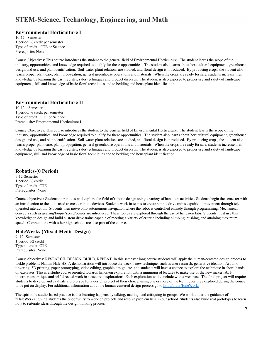## **STEM-Science, Technology, Engineering, and Math**

#### **Environmental Horticulture I**

10-12 –Semester 1 period, ½ credit per semester Type of credit: CTE or Science Prerequisite: None

Course Objectives: This course introduces the student to the general field of Environmental Horticulture. The student learns the scope of the industry, opportunities, and knowledge required to qualify for these opportunities. The student also learns about horticultural equipment, greenhouse design and use, and plan identification. Soil-water-plant relations are studied, and floral design is introduced. By producing crops, the student also learns proper plant care, plant propagation, general greenhouse operations and materials. When the crops are ready for sale, students increase their knowledge by learning the cash register, sales techniques and product displays. The student is also exposed to proper use and safety of landscape equipment, skill and knowledge of basic floral techniques and to bedding and houseplant identification.

#### **Environmental Horticulture II**

10-12 – Semester 1 period, ½ credit per semester Type of credit: CTE or Science Prerequisite: Environmental Horticulture I

Course Objectives: This course introduces the student to the general field of Environmental Horticulture. The student learns the scope of the industry, opportunities, and knowledge required to qualify for these opportunities. The student also learns about horticultural equipment, greenhouse design and use, and plan identification. Soil-water-plant relations are studied, and floral design is introduced. By producing crops, the student also learns proper plant care, plant propagation, general greenhouse operations and materials. When the crops are ready for sale, students increase their knowledge by learning the cash register, sales techniques and product displays. The student is also exposed to proper use and safety of landscape equipment, skill and knowledge of basic floral techniques and to bedding and houseplant identification.

#### **Robotics-(0 Period)**

9-12-Semester 1 period, ½ credit Type of credit: CTE Prerequisites: None

Course objectives: Students in robotics will explore the field of robotic design using a variety of hands-on activities. Students begin the semester with an introduction to the tools used to create robotic devices. Students work in teams to create simple drive trains capable of movement through teleoperated interaction. Students then move onto autonomous navigation where the robot is controlled entirely through programming. Mechanical concepts such as gearing/torque/speed/power are introduced. These topics are explored through the use of hands-on labs. Students must use this knowledge to design and build custom drive trains capable of meeting a variety of criteria including climbing, pushing, and attaining maximum speed. Competitions with other high schools are also part of the course.

#### **HaleWerks (Mixed Media Design)**

9- 12 -Semester 1 period 1/2 credit Type of credit: CTE Prerequisites: None

Course objectives: RESEARCH, DESIGN, BUILD, REPEAT. In this semester long course students will apply the human-centered design process to tackle problems Nathan Hale HS. A demonstration will introduce the week's new technique, such as user research, generative ideation, Arduino tinkering, 3D printing, paper prototyping, video editing, graphic design, etc. and students will have a chance to explore the technique in short, handson exercises. This is a studio course oriented towards hands-on exploration with a minimum of lectures to make use of the new maker lab. It incorporates critique and self-directed work in structured explorations. Each exploration will conclude with a web base. The final project will require students to develop and evaluate a prototype for a design project of their choice, using one or more of the techniques they explored during the course, to be put on display. For additional information about the human-centered design process go t[o http://bit.ly/HaleWorks](http://bit.ly/HaleWorks)

The spirit of a studio-based practice is that learning happens by talking, making, and critiquing in groups. We work under the guidance of "HaleWorks" giving students the opportunity to work on projects and resolve problem here in our school. Students also build real prototypes to learn how to reiterate ideas through the design thinking process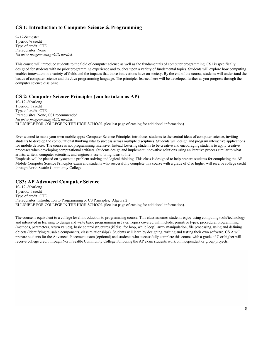#### **CS 1: Introduction to Computer Science & Programming**

9- 12-Semester 1 period ½ credit Type of credit: CTE Prerequisites: None *No prior programming skills needed.*

This course will introduce students to the field of computer science as well as the fundamentals of computer programming. CS1 is specifically designed for students with no prior programming experience and touches upon a variety of fundamental topics. Students will explore how computing enables innovation in a variety of fields and the impacts that those innovations have on society. By the end of the course, students will understand the basics of computer science and the Java programming language. The principles learned here will be developed further as you progress through the computer science discipline.

#### **CS 2: Computer Science Principles (can be taken as AP)**

10- 12 -Yearlong 1 period, 1 credit Type of credit: CTE Prerequisites: None, CS1 recommended *No prior programming skills needed.* ELLIGIBLE FOR COLLEGE IN THE HIGH SCHOOL (See last page of catalog for additional information).

Ever wanted to make your own mobile apps? Computer Science Principles introduces students to the central ideas of computer science, inviting students to develop the computational thinking vital to success across multiple disciplines. Students will design and program interactive applications for mobile devices. The course is not programming intensive. Instead fostering students to be creative and encouraging students to apply creative processes when developing computational artifacts. Students design and implement innovative solutions using an iterative process similar to what artists, writers, computer scientists, and engineers use to bring ideas to life.

Emphasis will be placed on systematic problem-solving and logical thinking. This class is designed to help prepare students for completing the AP Mobile Computer Science Principles exam and students who successfully complete this course with a grade of C or higher will receive college credit through North Seattle Community College.

#### **CS3: AP Advanced Computer Science**

10- 12 -Yearlong 1 period, 1 credit Type of credit: CTE Prerequisites: Introduction to Programming or CS Principles, Algebra 2 ELLIGIBLE FOR COLLEGE IN THE HIGH SCHOOL (See last page of catalog for additional information).

The course is equivalent to a college level introduction to programming course. This class assumes students enjoy using computing tools/technology and interested in learning to design and write basic programming in Java. Topics covered will include: primitive types, procedural programming (methods, parameters, return values), basic control structures (if/else, for loop, while loop), array manipulation, file processing, using and defining objects (identifying reusable components, class relationships). Students will learn by designing, writing and testing their own software. CS A will prepare students for the Advanced Placement exam (optional) and students who successfully complete this course with a grade of C or higher will receive college credit through North Seattle Community College Following the AP exam students work on independent or group projects.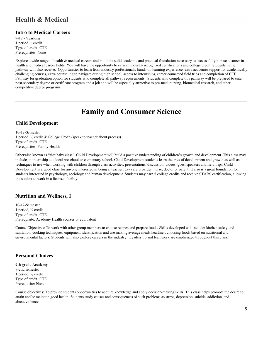### **Health & Medical**

#### **Intro to Medical Careers**

9-12 - Yearlong 1 period, 1 credit Type of credit: CTE Prerequisites: None

Explore a wide range of health & medical careers and build the solid academic and practical foundation necessary to successfully pursue a career in health and medical career fields. You will have the opportunity to earn an industry recognized certifications and college credit Students in the pathway will also receive: Opportunities to learn from industry professionals, hands-on learning experience, extra academic support for academically challenging courses, extra counseling to navigate during high school, access to internships, career connected field trips and completion of CTE Pathway for graduation option for students who complete all pathway requirements. Students who complete this pathway will be prepared to enter post-secondary degree or certificate program and a job and will be especially attractive to pre-med, nursing, biomedical research, and other competitive degree programs.

# **Family and Consumer Science**

#### <span id="page-8-0"></span>**Child Development**

10-12-Semester 1 period, ½ credit & College Credit (speak to teacher about process) Type of credit: CTE Prerequisites: Family Health

Otherwise known as "that baby class", Child Development will build a positive understanding of children's growth and development. This class may include an internship at a local preschool or elementary school. Child Development students learn theories of development and growth as well as techniques to use when working with children through class activities, presentations, discussion, videos, guest speakers and field trips. Child Development is a good class for anyone interested in being a, teacher, day care provider, nurse, doctor or parent. It also is a great foundation for students interested in psychology, sociology and human development. Students may earn 5 college credits and receive STARS certification, allowing the student to work in a licensed facility.

#### **Nutrition and Wellness, I**

10-12-Semester 1 period, ½ credit Type of credit: CTE Prerequisite: Academy Health courses or equivalent

Course Objectives: To work with other group members to choose recipes and prepare foods. Skills developed will include: kitchen safety and sanitation, cooking techniques, equipment identification and use making average meals healthier, choosing foods based on nutritional and environmental factors. Students will also explore careers in the industry. Leadership and teamwork are emphasized throughout this class.

#### **Personal Choices**

#### **9th grade Academy** 9-2nd semester 1 period, ½ credit Type of credit: CTE Prerequisite: None

Course objectives: To provide students opportunities to acquire knowledge and apply decision-making skills. This class helps promote the desire to attain and/or maintain good health. Students study causes and consequences of such problems as stress, depression, suicide, addiction, and abuse/violence.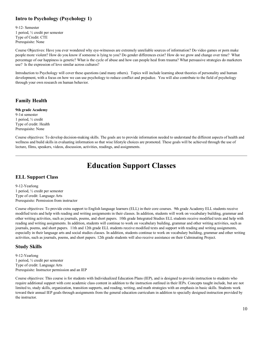#### **Intro to Psychology (Psychology 1)**

9-12- Semester 1 period, ½ credit per semester Type of Credit: CTE Prerequisite: None

Course Objectives: Have you ever wondered why eye-witnesses are extremely unreliable sources of information? Do video games or porn make people more violent? How do you know if someone is lying to you? Do gender differences exist? How do we grow and change over time? What percentage of our happiness is genetic? What is the cycle of abuse and how can people heal from trauma? What persuasive strategies do marketers use? Is the expression of love similar across cultures?

Introduction to Psychology will cover these questions (and many others). Topics will include learning about theories of personality and human development, with a focus on how we can use psychology to reduce conflict and prejudice. You will also contribute to the field of psychology through your own research on human behavior.

#### **Family Health**

#### **9th grade Academy**

9-1st semester 1 period, ½ credit Type of credit: Health Prerequisite: None

Course objectives: To develop decision-making skills. The goals are to provide information needed to understand the different aspects of health and wellness and build skills in evaluating information so that wise lifestyle choices are promoted. These goals will be achieved through the use of lecture, films, speakers, videos, discussion, activities, readings, and assignments.

# **Education Support Classes**

#### <span id="page-9-0"></span>**ELL Support Class**

9-12-Yearlong 1 period, ½ credit per semester Type of credit: Language Arts Prerequisite: Permission from instructor

Course objectives: To provide extra support to English language learners (ELL) in their core courses. 9th grade Academy ELL students receive modified texts and help with reading and writing assignments in their classes. In addition, students will work on vocabulary building, grammar and other writing activities, such as journals, poems, and short papers. 10th grade Integrated Studies ELL students receive modified texts and help with reading and writing assignments. In addition, students will continue to work on vocabulary building, grammar and other writing activities, such as journals, poems, and short papers. 11th and 12th grade ELL students receive modified texts and support with reading and writing assignments, especially in their language arts and social studies classes. In addition, students continue to work on vocabulary building, grammar and other writing activities, such as journals, poems, and short papers. 12th grade students will also receive assistance on their Culminating Project.

#### **Study Skills**

9-12-Yearlong 1 period, ½ credit per semester Type of credit: Language Arts Prerequisite: Instructor permission and an IEP

Course objectives: This course is for students with Individualized Education Plans (IEP), and is designed to provide instruction to students who require additional support with core academic class content in addition to the instruction outlined in their IEPs. Concepts taught include, but are not limited to, study skills, organization, transition supports, and reading, writing, and math strategies with an emphasis in basic skills. Students work toward their annual IEP goals through assignments from the general education curriculum in addition to specially designed instruction provided by the instructor.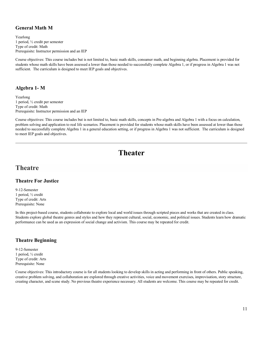#### **General Math M**

Yearlong 1 period, ½ credit per semester Type of credit: Math Prerequisite: Instructor permission and an IEP

Course objectives: This course includes but is not limited to, basic math skills, consumer math, and beginning algebra. Placement is provided for students whose math skills have been assessed a lower than those needed to successfully complete Algebra 1, or if progress in Algebra 1 was not sufficient. The curriculum is designed to meet IEP goals and objectives.

#### **Algebra 1- M**

Yearlong 1 period, ½ credit per semester Type of credit: Math Prerequisite: Instructor permission and an IEP

Course objectives: This course includes but is not limited to, basic math skills, concepts in Pre-algebra and Algebra 1 with a focus on calculation, problem solving and application to real life scenarios. Placement is provided for students whose math skills have been assessed at lower than those needed to successfully complete Algebra 1 in a general education setting, or if progress in Algebra 1 was not sufficient. The curriculum is designed to meet IEP goals and objectives.

# **Theater**

#### <span id="page-10-0"></span>**Theatre**

#### **Theatre For Justice**

9-12-Semester 1 period, ½ credit Type of credit: Arts Prerequisite: None

In this project-based course, students collaborate to explore local and world issues through scripted pieces and works that are created in class. Students explore global theatre genres and styles and how they represent cultural, social, economic, and political issues. Students learn how dramatic performance can be used as an expression of social change and activism. This course may be repeated for credit.

#### **Theatre Beginning**

9-12-Semester 1 period, ½ credit Type of credit: Arts Prerequisite: None

Course objectives: This introductory course is for all students looking to develop skills in acting and performing in front of others. Public speaking, creative problem solving, and collaboration are explored through creative activities, voice and movement exercises, improvisation, story structure, creating character, and scene study. No previous theatre experience necessary. All students are welcome. This course may be repeated for credit.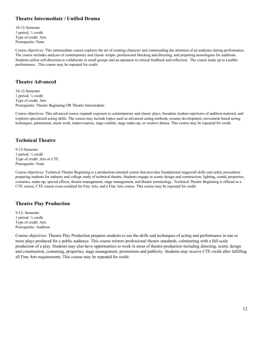#### **Theatre Intermediate / Unified Drama**

10-12-Semester 1 period, ½ credit Type of credit: Arts Prerequisite: None

Course objectives: This intermediate course explores the art of creating character and commanding the attention of an audience during performance. The course includes analysis of contemporary and classic scripts, professional blocking and directing, and preparing monologues for auditions. Students utilize self-direction to collaborate in small groups and an openness to critical feedback and reflection. The course leads up to a public performance. This course may be repeated for credit.

#### **Theatre Advanced**

10-12-Semester 1 period, ½ credit Type of credit: Arts Prerequisite: Theatre Beginning OR Theatre Intermediate

Course objectives: This advanced course expands exposure to contemporary and classic plays, broadens student repertoire of audition material, and explores specialized acting skills. The course may include topics such as advanced acting methods, resume development, movement-based acting techniques, pantomime, mask work, improvisation, stage combat, stage make-up, or creative drama. This course may be repeated for credit.

#### **Technical Theatre**

9-12-Semester 1 period, ½ credit Type of credit: Arts or CTE Prerequisite: None

Course objectives: Technical Theatre Beginning is a production-oriented course that provides foundational stagecraft skills and safety procedures preparing students for industry and college study of technical theatre. Students engage in scenic design and construction, lighting, sound, properties, costumes, make-up, special effects, theatre management, stage management, and theatre terminology. Technical Theatre Beginning is offered as a CTE course, CTE course cross-credited for Fine Arts, and a Fine Arts course. This course may be repeated for credit.

#### **Theatre Play Production**

9-12- Semester 1 period, ½ credit Type of credit: Arts Prerequisite: Audition

Course objectives: Theatre Play Production prepares students to use the skills and techniques of acting and performance in one or more plays produced for a public audience. This course mirrors professional theatre standards, culminating with a full-scale production of a play. Students may also have opportunities to work in areas of theatre production including directing, scenic design and construction, costuming, properties, stage management, promotions and publicity. Students may receive CTE credit after fulfilling all Fine Arts requirements. This course may be repeated for credit.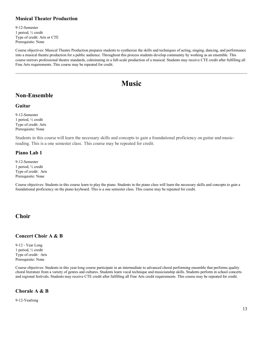#### **Musical Theater Production**

9-12-Semester 1 period, ½ credit Type of credit: Arts or CTE Prerequisite: None

Course objectives: Musical Theatre Production prepares students to synthesize the skills and techniques of acting, singing, dancing, and performance into a musical theatre production for a public audience. Throughout this process students develop community by working as an ensemble. This course mirrors professional theatre standards, culminating in a full-scale production of a musical. Students may receive CTE credit after fulfilling all Fine Arts requirements. This course may be repeated for credit.

# **Music**

### <span id="page-12-0"></span>**Non-Ensemble**

#### **Guitar**

9-12-Semester 1 period, ½ credit Type of credit: Arts Prerequisite: None

Students in this course will learn the necessary skills and concepts to gain a foundational proficiency on guitar and musicreading. This is a one semester class.  This course may be repeated for credit. 

#### **Piano Lab 1**

9-12-Semester 1 period, ½ credit Type of credit: Arts Prerequisite: None

Course objectives: Students in this course learn to play the piano. Students in the piano class will learn the necessary skills and concepts to gain a foundational proficiency on the piano keyboard. This is a one semester class. This course may be repeated for credit.

#### **Choir**

#### **Concert Choir A & B**

9-12 - Year Long 1 period, ½ credit Type of credit: Arts Prerequisite: None

Course objectives: Students in this year-long course participate in an intermediate to advanced choral performing ensemble that performs quality choral literature from a variety of genres and cultures. Students learn vocal technique and musicianship skills. Students perform in school concerts and regional festivals. Students may receive CTE credit after fulfilling all Fine Arts credit requirements. This course may be repeated for credit.

#### **Chorale A & B**

9-12-Yearlong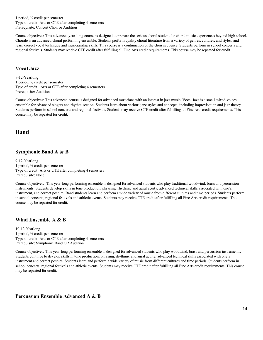1 period, ½ credit per semester Type of credit: Arts or CTE after completing 4 semesters Prerequisite: Concert Choir or Audition

Course objectives: This advanced year-long course is designed to prepare the serious choral student for choral music experiences beyond high school. Chorale is an advanced choral performing ensemble. Students perform quality choral literature from a variety of genres, cultures, and styles, and learn correct vocal technique and musicianship skills. This course is a continuation of the choir sequence. Students perform in school concerts and regional festivals. Students may receive CTE credit after fulfilling all Fine Arts credit requirements. This course may be repeated for credit.

#### **Vocal Jazz**

9-12-Yearlong 1 period, ½ credit per semester Type of credit: Arts or CTE after completing 4 semesters Prerequisite: Audition

Course objectives: This advanced course is designed for advanced musicians with an interest in jazz music. Vocal Jazz is a small mixed-voices ensemble for advanced singers and rhythm section. Students learn about various jazz styles and concepts, including improvisation and jazz theory. Students perform in school concerts and regional festivals. Students may receive CTE credit after fulfilling all Fine Arts credit requirements. This course may be repeated for credit.

#### **Band**

#### **Symphonic Band A & B**

9-12-Yearlong 1 period, ½ credit per semester Type of credit**:** Arts or CTE after completing 4 semesters Prerequisite: None

Course objectives: This year-long performing ensemble is designed for advanced students who play traditional woodwind, brass and percussion instruments. Students develop skills in tone production, phrasing, rhythmic and aural acuity, advanced technical skills associated with one's instrument, and correct posture. Band students learn and perform a wide variety of music from different cultures and time periods. Students perform in school concerts, regional festivals and athletic events. Students may receive CTE credit after fulfilling all Fine Arts credit requirements. This course may be repeated for credit.

#### **Wind Ensemble A & B**

10-12-Yearlong 1 period, ½ credit per semester Type of credit: Arts or CTE after completing 4 semesters Prerequisite: Symphonic Band OR Audition

Course objectives: This year-long performing ensemble is designed for advanced students who play woodwind, brass and percussion instruments. Students continue to develop skills in tone production, phrasing, rhythmic and aural acuity, advanced technical skills associated with one's instrument and correct posture. Students learn and perform a wide variety of music from different cultures and time periods. Students perform in school concerts, regional festivals and athletic events. Students may receive CTE credit after fulfilling all Fine Arts credit requirements. This course may be repeated for credit.

#### **Percussion Ensemble Advanced A & B**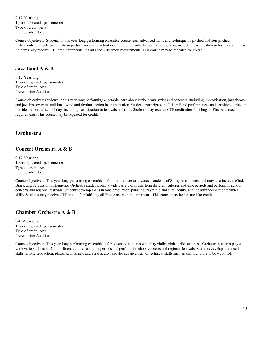9-12-Yearlong 1 period, ½ credit per semester Type of credit: Arts Prerequisite: None

Course objectives: Students in this year-long performing ensemble course learn advanced skills and technique on pitched and non-pitched instruments. Students participate in performances and activities during or outside the normal school day, including participation in festivals and trips. Students may receive CTE credit after fulfilling all Fine Arts credit requirements. This course may be repeated for credit.

#### **Jazz Band A & B**

9-12-Yearlong 1 period, ½ credit per semester Type of credit: Arts Prerequisite: Audition

Course objectives: Students in this year-long performing ensemble learn about various jazz styles and concepts, including improvisation, jazz theory, and jazz history with traditional wind and rhythm section instrumentation. Students participate in all Jazz Band performances and activities during or outside the normal school day, including participation in festivals and trips. Students may receive CTE credit after fulfilling all Fine Arts credit requirements. This course may be repeated for credit.

#### **Orchestra**

#### **Concert Orchestra A & B**

9-12-Yearlong 1 period, ½ credit per semester Type of credit: Arts Prerequisite: None

Course objectives: This year-long performing ensemble is for intermediate to advanced students of String instruments, and may also include Wind, Brass, and Percussion instruments. Orchestra students play a wide variety of music from different cultures and time periods and perform in school concerts and regional festivals. Students develop skills in tone production, phrasing, rhythmic and aural acuity, and the advancement of technical skills. Students may receive CTE credit after fulfilling all Fine Arts credit requirements. This course may be repeated for credit.

#### **Chamber Orchestra A & B**

9-12-Yearlong 1 period, ½ credit per semester Type of credit: Arts Prerequisite: Audition

Course objectives: This year-long performing ensemble is for advanced students who play violin, viola, cello, and bass. Orchestra students play a wide variety of music from different cultures and time periods and perform in school concerts and regional festivals. Students develop advanced skills in tone production, phrasing, rhythmic and aural acuity, and the advancement of technical skills such as shifting, vibrato, bow control,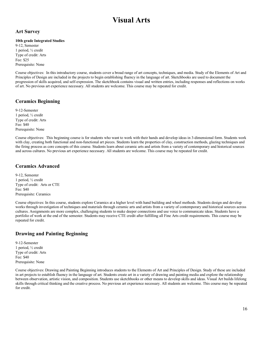# **Visual Arts**

#### <span id="page-15-0"></span>**Art Survey**

#### **10th grade Integrated Studies**

9-12, Semester 1 period, ½ credit Type of credit: Arts Fee: \$25 Prerequisite: None

Course objectives: In this introductory course, students cover a broad range of art concepts, techniques, and media. Study of the Elements of Art and Principles of Design are included in the projects to begin establishing fluency in the language of art. Sketchbooks are used to document the progression of skills acquired, and self-expression. The sketchbook contains visual and written entries, including responses and reflections on works of art. No previous art experience necessary. All students are welcome. This course may be repeated for credit.

#### **Ceramics Beginning**

9-12-Semester 1 period, ½ credit Type of credit: Arts Fee: \$40 Prerequisite: None

Course objectives: This beginning course is for students who want to work with their hands and develop ideas in 3-dimensional form. Students work with clay, creating both functional and non-functional art pieces. Students learn the properties of clay, construction methods, glazing techniques and the firing process as core concepts of this course. Students learn about ceramic arts and artists from a variety of contemporary and historical sources and across cultures. No previous art experience necessary. All students are welcome. This course may be repeated for credit.

#### **Ceramics Advanced**

9-12, Semester 1 period, ½ credit Type of credit: Arts or CTE Fee: \$40 Prerequisite: Ceramics

Course objectives: In this course, students explore Ceramics at a higher level with hand building and wheel methods. Students design and develop works through investigation of techniques and materials through ceramic arts and artists from a variety of contemporary and historical sources across cultures. Assignments are more complex, challenging students to make deeper connections and use voice to communicate ideas. Students have a portfolio of work at the end of the semester. Students may receive CTE credit after fulfilling all Fine Arts credit requirements. This course may be repeated for credit.

#### **Drawing and Painting Beginning**

9-12-Semester 1 period, ½ credit Type of credit: Arts Fee: \$40 Prerequisite: None

Course objectives: Drawing and Painting Beginning introduces students to the Elements of Art and Principles of Design. Study of these are included in art projects to establish fluency in the language of art. Students create art in a variety of drawing and painting media and explore the relationship between observation, artistic vision, and composition. Students use sketchbooks or other means to develop skills and ideas. Visual Art builds lifelong skills through critical thinking and the creative process. No previous art experience necessary. All students are welcome. This course may be repeated for credit.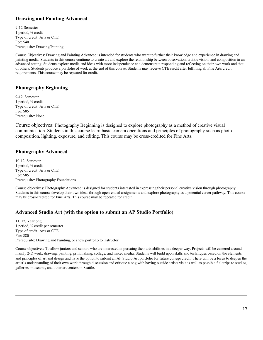#### **Drawing and Painting Advanced**

9-12-Semester 1 period, ½ credit Type of credit: Arts or CTE Fee: \$40 Prerequisite: Drawing/Painting

Course Objectives: Drawing and Painting Advanced is intended for students who want to further their knowledge and experience in drawing and painting media. Students in this course continue to create art and explore the relationship between observation, artistic vision, and composition in an advanced setting. Students explore media and ideas with more independence and demonstrate responding and reflecting on their own work and that of others. Students produce a portfolio of work at the end of this course. Students may receive CTE credit after fulfilling all Fine Arts credit requirements. This course may be repeated for credit.

#### **Photography Beginning**

9-12, Semester 1 period, ½ credit Type of credit: Arts or CTE Fee: \$85 Prerequisite: None

Course objectives: Photography Beginning is designed to explore photography as a method of creative visual communication. Students in this course learn basic camera operations and principles of photography such as photo composition, lighting, exposure, and editing. This course may be cross-credited for Fine Arts.

#### **Photography Advanced**

10-12, Semester 1 period, ½ credit Type of credit: Arts or CTE Fee: \$85 Prerequisite: Photography Foundations

Course objectives: Photography Advanced is designed for students interested in expressing their personal creative vision through photography. Students in this course develop their own ideas through open-ended assignments and explore photography as a potential career pathway. This course may be cross-credited for Fine Arts. This course may be repeated for credit.

#### **Advanced Studio Art (with the option to submit an AP Studio Portfolio)**

11, 12, Yearlong 1 period, ½ credit per semester Type of credit: Arts or CTE Fee: \$80 Prerequisite: Drawing and Painting, or show portfolio to instructor.

Course objectives: To allow juniors and seniors who are interested in pursuing their arts abilities in a deeper way. Projects will be centered around mainly 2-D work, drawing, painting, printmaking, collage, and mixed media. Students will build upon skills and techniques based on the elements and principles of art and design and have the option to submit an AP Studio Art portfolio for future college credit. There will be a focus to deepen the artist's understanding of their own work through discussion and critique along with having outside artists visit as well as possible fieldtrips to studios, galleries, museums, and other art centers in Seattle.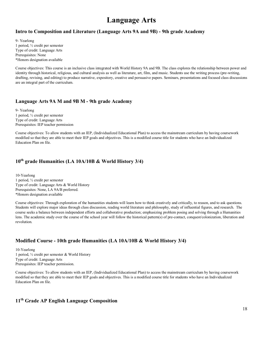# **Language Arts**

#### <span id="page-17-0"></span>**Intro to Composition and Literature (Language Arts 9A and 9B) - 9th grade Academy**

9- Yearlong 1 period, ½ credit per semester Type of credit: Language Arts Prerequisites: None \*Honors designation available

Course objectives: This course is an inclusive class integrated with World History 9A and 9B. The class explores the relationship between power and identity through historical, religious, and cultural analysis as well as literature, art, film, and music. Students use the writing process (pre-writing, drafting, revising, and editing) to produce narrative, expository, creative and persuasive papers. Seminars, presentations and focused class discussions are an integral part of the curriculum.

#### **Language Arts 9A M and 9B M - 9th grade Academy**

9- Yearlong 1 period, ½ credit per semester Type of credit: Language Arts Prerequisites: IEP teacher permission

Course objectives: To allow students with an IEP, (Individualized Educational Plan) to access the mainstream curriculum by having coursework modified so that they are able to meet their IEP goals and objectives. This is a modified course title for students who have an Individualized Education Plan on file.

#### **10th grade Humanities (LA 10A/10B & World History 3/4)**

10-Yearlong 1 period, ½ credit per semester Type of credit: Language Arts & World History Prerequisites: None, LA 9A/B preferred. \*Honors designation available

Course objectives: Through exploration of the humanities students will learn how to think creatively and critically, to reason, and to ask questions. Students will explore major ideas through class discussion, reading world literature and philosophy, study of influential figures, and research. The course seeks a balance between independent efforts and collaborative production; emphasizing problem posing and solving through a Humanities lens. The academic study over the course of the school year will follow the historical pattern(s) of pre-contact, conquest/colonization, liberation and revolution.

#### **Modified Course - 10th grade Humanities (LA 10A/10B & World History 3/4)**

10-Yearlong 1 period, ½ credit per semester & World History Type of credit: Language Arts Prerequisites: IEP teacher permission.

Course objectives: To allow students with an IEP, (Individualized Educational Plan) to access the mainstream curriculum by having coursework modified so that they are able to meet their IEP goals and objectives. This is a modified course title for students who have an Individualized Education Plan on file.

#### **11th Grade AP English Language Composition**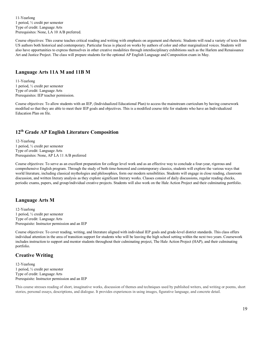11-Yearlong 1 period, ½ credit per semester Type of credit: Language Arts Prerequisites: None, LA 10 A/B preferred.

Course objectives: This course teaches critical reading and writing with emphasis on argument and rhetoric. Students will read a variety of texts from US authors both historical and contemporary. Particular focus is placed on works by authors of color and other marginalized voices. Students will also have opportunities to express themselves in other creative modalities through interdisciplinary exhibitions such as the Harlem and Renaissance Art and Justice Project. The class will prepare students for the optional AP English Language and Composition exam in May.

#### **Language Arts 11A M and 11B M**

11-Yearlong 1 period, ½ credit per semester Type of credit: Language Arts Prerequisites: IEP teacher permission.

Course objectives: To allow students with an IEP, (Individualized Educational Plan) to access the mainstream curriculum by having coursework modified so that they are able to meet their IEP goals and objectives. This is a modified course title for students who have an Individualized Education Plan on file.

#### **12th Grade AP English Literature Composition**

12-Yearlong 1 period, ½ credit per semester Type of credit: Language Arts Prerequisites: None, AP LA 11 A/B preferred

Course objectives: To serve as an excellent preparation for college level work and as an effective way to conclude a four-year, rigorous and comprehensive English program. Through the study of both time-honored and contemporary classics, students will explore the various ways that world literature, including classical mythologies and philosophies, form our modern sensibilities. Students will engage in close reading, classroom discussion, and written literary analysis as they explore significant literary works. Classes consist of daily discussions, regular reading checks, periodic exams, papers, and group/individual creative projects. Students will also work on the Hale Action Project and their culminating portfolio.

#### **Language Arts M**

12-Yearlong 1 period, ½ credit per semester Type of credit: Language Arts Prerequisite: Instructor permission and an IEP

Course objectives: To cover reading, writing, and literature aligned with individual IEP goals and grade-level district standards. This class offers individual attention in the area of transition support for students who will be leaving the high school setting within the next two years. Coursework includes instruction to support and mentor students throughout their culminating project, The Hale Action Project (HAP), and their culminating portfolio.

#### **Creative Writing**

12-Yearlong 1 period, ½ credit per semester Type of credit: Language Arts Prerequisite: Instructor permission and an IEP

This course stresses reading of short, imaginative works, discussion of themes and techniques used by published writers, and writing or poems, short stories, personal essays, descriptions, and dialogue. It provides experiences in using images, figurative language, and concrete detail.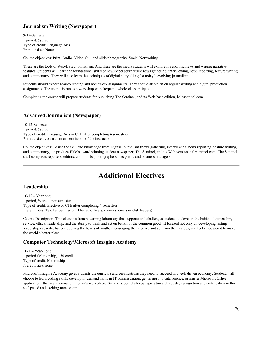#### **Journalism Writing (Newspaper)**

9-12-Semester 1 period, ½ credit Type of credit: Language Arts Prerequisites: None

Course objectives: Print. Audio. Video. Still and slide photography. Social Networking.

These are the tools of Web-Based journalism. And these are the media students will explore in reporting news and writing narrative features. Students will learn the foundational skills of newspaper journalism: news gathering, interviewing, news reporting, feature writing, and commentary. They will also learn the techniques of digital storytelling for today's evolving journalism.

Students should expect how-to reading and homework assignments. They should also plan on regular writing and digital production assignments. The course is run as a workshop with frequent whole-class critique.

Completing the course will prepare students for publishing The Sentinel, and its Web-base edition, halesentinel.com.

#### **Advanced Journalism (Newspaper)**

10-12-Semester 1 period, ½ credit Type of credit: Language Arts or CTE after completing 4 semesters Prerequisites: Journalism or permission of the instructor

Course objectives: To use the skill and knowledge from Digital Journalism (news gathering, interviewing, news reporting, feature writing, and commentary), to produce Hale's award winning student newspaper, The Sentinel, and its Web version, halesentinel.com. The Sentinel staff comprises reporters, editors, columnists, photographers, designers, and business managers.

# **Additional Electives**

#### <span id="page-19-0"></span>**Leadership**

 $10-12 - Yearlong$ 1 period, ½ credit per semester Type of credit: Elective or CTE after completing 4 semesters. Prerequisites: Teacher permission (Elected officers, commissioners or club leaders)

Course Description: This class is a french learning laboratory that supports and challenges students to develop the habits of citizenship, service, ethical leadership, and the ability to think and act on behalf of the common good. It focused not only on developing lasting leadership capacity, but on touching the hearts of youth, encouraging them to live and act from their values, and feel empowered to make the world a better place.

#### **Computer Technology/Microsoft Imagine Academy**

10-12- Year-Long 1 period (Mentorship), .50 credit Type of credit: Mentorship Prerequisites: none

Microsoft Imagine Academy gives students the curricula and certifications they need to succeed in a tech-driven economy. Students will choose to learn coding skills, develop in-demand skills in IT administration, get an intro to data science, or master Microsoft Office applications that are in demand in today's workplace. Set and accomplish your goals toward industry recognition and certification in this self-paced and exciting mentorship.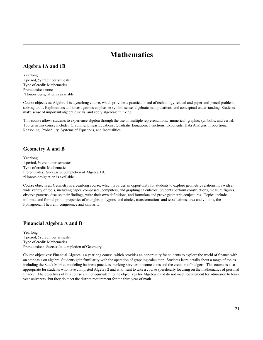# **Mathematics**

#### <span id="page-20-0"></span>**Algebra 1A and 1B**

Yearlong 1 period, ½ credit per semester Type of credit: Mathematics Prerequisites: none \*Honors designation is available

Course objectives: Algebra 1 is a yearlong course, which provides a practical blend of technology-related and paper-and-pencil problem solving tools. Explorations and investigations emphasize symbol sense, algebraic manipulations, and conceptual understanding. Students make sense of important algebraic skills, and apply algebraic thinking.

This course allows students to experience algebra through the use of multiple representations: numerical, graphic, symbolic, and verbal. Topics in this course include: Graphing, Linear Equations, Quadratic Equations, Functions, Exponents, Data Analysis, Proportional Reasoning, Probability, Systems of Equations, and Inequalities.

#### **Geometry A and B**

Yearlong 1 period, ½ credit per semester Type of credit: Mathematics Prerequisites: Successful completion of Algebra 1B. \*Honors designation is available

Course objectives: Geometry is a yearlong course, which provides an opportunity for students to explore geometric relationships with a wide variety of tools, including paper, compasses, computers, and graphing calculators. Students perform constructions, measure figures, observe patterns, discuss their findings, write their own definitions, and formulate and prove geometric conjectures. Topics include informal and formal proof, properties of triangles, polygons, and circles, transformations and tessellations, area and volume, the Pythagorean Theorem, congruence and similarity

#### **Financial Algebra A and B**

Yearlong 1 period, ½ credit per semester Type of credit: Mathematics Prerequisites: Successful completion of Geometry.

Course objectives: Financial Algebra is a yearlong course, which provides an opportunity for students to explore the world of finance with an emphasis on algebra. Students gain familiarity with the operation of graphing calculator. Students learn details about a range of topics including the Stock Market, modeling business practices, banking services, income taxes and the creation of budgets. This course is also appropriate for students who have completed Algebra 2 and who want to take a course specifically focusing on the mathematics of personal finance. The objectives of this course are not equivalent to the objectives for Algebra 2 and do not meet requirement for admission to fouryear university, but they do meet the district requirement for the third year of math.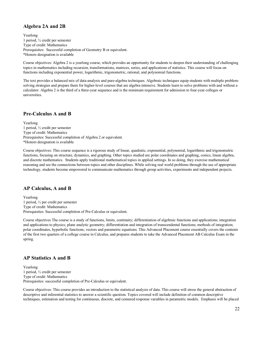#### **Algebra 2A and 2B**

Yearlong 1 period, ½ credit per semester Type of credit: Mathematics Prerequisites: Successful completion of Geometry B or equivalent. \*Honors designation is available

Course objectives: Algebra 2 is a yearlong course, which provides an opportunity for students to deepen their understanding of challenging topics in mathematics including recursion, transformations, matrices, series, and applications of statistics. This course will focus on functions including exponential power, logarithmic, trigonometric, rational, and polynomial functions.

The text provides a balanced mix of data-analysis and pure-algebra techniques. Algebraic techniques equip students with multiple problemsolving strategies and prepare them for higher-level courses that are algebra intensive. Students learn to solve problems with and without a calculator. Algebra 2 is the third of a three-year sequence and is the minimum requirement for admission to four-year colleges or universities.

#### **Pre-Calculus A and B**

Yearlong 1 period, ½ credit per semester Type of credit: Mathematics Prerequisites: Successful completion of Algebra 2 or equivalent. \*Honors designation is available

Course objectives: This course sequence is a rigorous study of linear, quadratic, exponential, polynomial, logarithmic and trigonometric functions, focusing on structure, dynamics, and graphing. Other topics studied are polar coordinates and graphing, conics, linear algebra, and discrete mathematics. Students apply traditional mathematical topics in applied settings. In so doing, they exercise mathematical reasoning and see the connections between topics and other disciplines. While solving real world problems through the use of appropriate technology, students become empowered to communicate mathematics through group activities, experiments and independent projects.

#### **AP Calculus, A and B**

Yearlong 1 period, ½ per credit per semester Type of credit: Mathematics Prerequisites: Successful completion of Pre-Calculus or equivalent.

Course objectives The course is a study of functions, limits, continuity; differentiation of algebraic functions and applications; integration and applications to physics; plane analytic geometry; differentiation and integration of transcendental functions; methods of integration; polar coordinates, hyperbolic functions, vectors and parametric equations. This Advanced Placement course essentially covers the contents of the first two quarters of a college course in Calculus, and prepares students to take the Advanced Placement AB Calculus Exam in the spring.

#### **AP Statistics A and B**

Yearlong 1 period, ½ credit per semester Type of credit: Mathematics Prerequisites: successful completion of Pre-Calculus or equivalent.

Course objectives: This course provides an introduction to the statistical analysis of data. This course will stress the general abstraction of descriptive and inferential statistics to answer a scientific question. Topics covered will include definition of common descriptive techniques, estimation and testing for continuous, discrete, and censured response variables in parametric models. Emphasis will be placed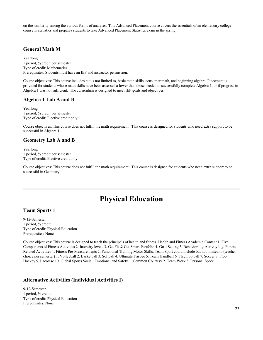on the similarity among the various forms of analyses. This Advanced Placement course covers the essentials of an elementary college course in statistics and prepares students to take Advanced Placement Statistics exam in the spring

#### **General Math M**

Yearlong 1 period, ½ credit per semester Type of credit: Mathematics Prerequisites: Students must have an IEP and instructor permission.

Course objectives: This course includes but is not limited to, basic math skills, consumer math, and beginning algebra. Placement is provided for students whose math skills have been assessed a lower than those needed to successfully complete Algebra 1, or if progress in Algebra 1 was not sufficient. The curriculum is designed to meet IEP goals and objectives.

#### **Algebra 1 Lab A and B**

Yearlong 1 period, ½ credit per semester Type of credit: Elective credit only

Course objectives: This course does not fulfill the math requirement. This course is designed for students who need extra support to be successful in Algebra 1.

#### **Geometry Lab A and B**

Yearlong 1 period, ½ credit per semester Type of credit: Elective credit only

Course objectives: This course does not fulfill the math requirement. This course is designed for students who need extra support to be successful in Geometry.

# **Physical Education**

#### <span id="page-22-0"></span>**Team Sports 1**

9-12-Semester 1 period, ½ credit Type of credit: Physical Education Prerequisites: None

Course objectives: This course is designed to teach the principals of health and fitness. Health and Fitness Academic Content 1. Five Components of Fitness Activities 2. Intensity levels 3. Get Fit & Get Smart Portfolio 4. Goal Setting 5. Behavior log-Activity log. Fitness Related Activities 1. Fitness Pre-Measurements 2. Functional Training Motor Skills. Team Sport could include but not limited to (teacher choice per semester) 1. Volleyball 2. Basketball 3. Softball 4. Ultimate Frisbee 5. Team Handball 6. Flag Football 7. Soccer 8. Floor Hockey 9. Lacrosse 10. Global Sports Social, Emotional and Safety 1. Common Courtesy 2. Team Work 3. Personal Space.

#### **Alternative Activities (Individual Activities I)**

9-12-Semester 1 period, ½ credit Type of credit: Physical Education Prerequisites: None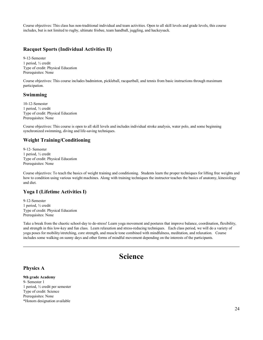Course objectives: This class has non-traditional individual and team activities. Open to all skill levels and grade levels, this course includes, but is not limited to rugby, ultimate frisbee, team handball, juggling, and hackeysack.

#### **Racquet Sports (Individual Activities II)**

9-12-Semester 1 period, ½ credit Type of credit: Physical Education Prerequisites: None

Course objectives: This course includes badminton, pickleball, racquetball, and tennis from basic instructions through maximum participation.

#### **Swimming**

10-12-Semester 1 period, ½ credit Type of credit: Physical Education Prerequisites: None

Course objectives: This course is open to all skill levels and includes individual stroke analysis, water polo, and some beginning synchronized swimming, diving and life-saving techniques.

#### **Weight Training/Conditioning**

9-12- Semester 1 period, ½ credit Type of credit: Physical Education Prerequisites: None

Course objectives: To teach the basics of weight training and conditioning. Students learn the proper techniques for lifting free weights and how to condition using various weight machines. Along with training techniques the instructor teaches the basics of anatomy, kinesiology and diet.

#### **Yoga I (Lifetime Activities I)**

9-12-Semester 1 period, ½ credit Type of credit: Physical Education Prerequisites: None

Take a break from the chaotic school-day to de-stress! Learn yoga movement and postures that improve balance, coordination, flexibility, and strength in this low-key and fun class. Learn relaxation and stress-reducing techniques. Each class period, we will do a variety of yoga poses for mobility/stretching, core strength, and muscle tone combined with mindfulness, meditation, and relaxation. Course includes some walking on sunny days and other forms of mindful movement depending on the interests of the participants.

# **Science**

#### <span id="page-23-0"></span>**Physics A**

**9th grade Academy** 9- Semester 1 1 period, ½ credit per semester Type of credit: Science Prerequisites: None \*Honors designation available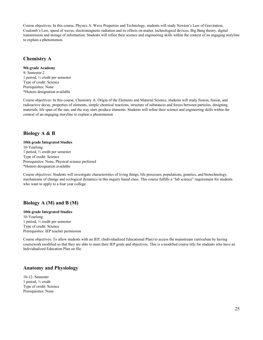Course objectives: In this course, Physics A: Wave Properties and Technology, students will study Newton's Law of Gravitation, Coulomb's Law, speed of waves, electromagnetic radiation and its effects on matter, technological devices, Big Bang theory, digital transmission and storage of information. Students will refine their science and engineering skills within the context of an engaging storyline to explain a phenomenon.

#### **Chemistry A**

#### **9th grade Academy**

9- Semester 2 1 period, ½ credit per semester Type of credit: Science Prerequisites: None \*Honors designation available

Course objectives: In this course, Chemistry A: Origin of the Elements and Material Science, students will study fission, fusion, and radioactive decay, properties of elements, simple chemical reactions, structure of substances and forces between particles, designing materials, life span of the sun, and the way stars produce elements. Students will refine their science and engineering skills within the context of an engaging storyline to explain a phenomenon

#### **Biology A & B**

#### **10th grade Integrated Studies**

10-Yearlong 1 period, ½ credit per semester Type of credit: Science Prerequisites: None, Physical science preferred \*Honors designation available

Course objectives: Students will investigate characteristics of living things, life processes, populations, genetics, and biotechnology, mechanisms of change and ecological dynamics in this inquiry based class. This course fulfills a "lab science" requirement for students who want to apply to a four year college.

#### **Biology A (M) and B (M)**

**10th grade Integrated Studies** 10-Yearlong 1 period, ½ credit per semester Type of credit: Science Prerequisites: IEP teacher permission

Course objectives: To allow students with an IEP, (Individualized Educational Plan) to access the mainstream curriculum by having coursework modified so that they are able to meet their IEP goals and objectives. This is a modified course title for students who have an Individualized Education Plan on file.

#### **Anatomy and Physiology**

10-12- Semester 1 period, ½ credit Type of credit: Science Prerequisites: None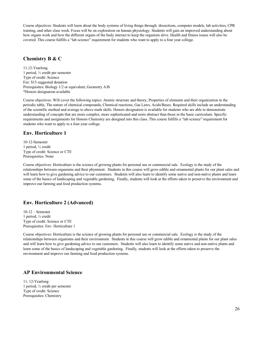Course objectives: Students will learn about the body systems of living things through: dissections, computer models, lab activities, CPR training, and other class work. Focus will be on exploration on human physiology. Students will gain an improved understanding about how organs work and how the different organs of the body interact to keep the organism alive. Health and fitness issues will also be covered. This course fulfills a "lab science" requirement for students who want to apply to a four year college.

#### **Chemistry B & C**

11,12-Yearlong 1 period, ½ credit per semester Type of credit: Science Fee: \$15 suggested donation Prerequisites: Biology 1/2 or equivalent, Geometry A/B \*Honors designation available

Course objectives: Will cover the following topics: Atomic structure and theory, Properties of elements and their organization in the periodic table, The nature of chemical compounds, Chemical reactions, Gas Laws, Acids/Bases. Required skills include an understanding of the scientific method and average to above math skills. Honors designation is available for students who are able to demonstrate understanding of concepts that are more complex, more sophisticated and more abstract than those in the basic curriculum. Specific requirements and assignments for Honors Chemistry are designed into this class. This course fulfills a "lab science" requirement for students who want to apply to a four-year college.

#### **Env. Horticulture 1**

10-12-Semester 1 period, ½ credit Type of credit: Science or CTE Prerequisites: None

Course objectives: Horticulture is the science of growing plants for personal use or commercial sale. Ecology is the study of the relationships between organisms and their phynment. Students in this course will grow edible and ornamental plants for our plant sales and will learn how to give gardening advice to our customers. Students will also learn to identify some native and non-native plants and learn some of the basics of landscaping and vegetable gardening. Finally, students will look at the efforts taken to preserve the environment and improve our farming and food production systems.

#### **Env. Horticulture 2 (Advanced)**

10-12 – Semester 1 period, ½ credit Type of credit: Science or CTE Prerequisites: Env. Horticulture 1

Course objectives: Horticulture is the science of growing plants for personal use or commercial sale. Ecology is the study of the relationships between organisms and their environment. Students in this course will grow edible and ornamental plants for our plant sales and will learn how to give gardening advice to our customers. Students will also learn to identify some native and non-native plants and learn some of the basics of landscaping and vegetable gardening. Finally, students will look at the efforts taken to preserve the environment and improve our farming and food production systems.

#### **AP Environmental Science**

11, 12-Yearlong 1 period, ½ credit per semester Type of credit: Science Prerequisites: Chemistry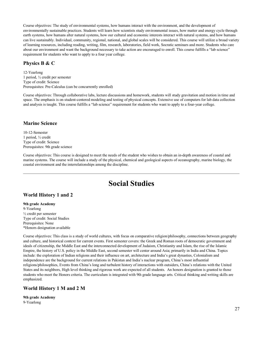Course objectives: The study of environmental systems, how humans interact with the environment, and the development of environmentally sustainable practices. Students will learn how scientists study environmental issues, how matter and energy cycle through earth systems, how humans alter natural systems, how our cultural and economic interests interact with natural systems, and how humans can live sustainably. Individual, community, regional, national, and global scales will be considered. This course will utilize a broad variety of learning resources, including reading, writing, film, research, laboratories, field work, Socratic seminars and more. Students who care about our environment and want the background necessary to take action are encouraged to enroll. This course fulfills a "lab science" requirement for students who want to apply to a four year college.

#### **Physics B & C**

12-Yearlong 1 period, ½ credit per semester Type of credit: Science Prerequisites: Pre-Calculus (can be concurrently enrolled)

Course objectives: Through collaborative labs, lecture discussions and homework, students will study gravitation and motion in time and space. The emphasis is on student-centered modeling and testing of physical concepts. Extensive use of computers for lab data collection and analysis is taught. This course fulfills a "lab science" requirement for students who want to apply to a four-year college.

#### **Marine Science**

10-12-Semester 1 period, ½ credit Type of credit: Science Prerequisites: 9th grade science

Course objectives: This course is designed to meet the needs of the student who wishes to obtain an in-depth awareness of coastal and marine systems. The course will include a study of the physical, chemical and geological aspects of oceanography, marine biology, the coastal environment and the interrelationships among the discipline.

# **Social Studies**

#### <span id="page-26-0"></span>**World History 1 and 2**

**9th grade Academy** 9-Yearlong ½ credit per semester Type of credit: Social Studies Prerequisites: None \*Honors designation available

Course objectives: This class is a study of world cultures, with focus on comparative religion/philosophy, connections between geography and culture, and historical context for current events. First semester covers: the Greek and Roman roots of democratic government and ideals of citizenship, the Middle East and the interconnected development of Judaism, Christianity and Islam, the rise of the Islamic Empire, the history of U.S. policy in the Middle East, second semester will center around Asia; primarily in India and China. Topics include: the exploration of Indian religions and their influence on art, architecture and India's great dynasties, Colonialism and independence are the background for current relations in Pakistan and India's nuclear program, China's most influential religions/philosophies, Events from China's long and turbulent history of interactions with outsiders, China's relations with the United States and its neighbors, High level thinking and rigorous work are expected of all students. An honors designation is granted to those students who meet the Honors criteria. The curriculum is integrated with 9th grade language arts. Critical thinking and writing skills are emphasized.

#### **World History 1 M and 2 M**

**9th grade Academy** 9-Yearlong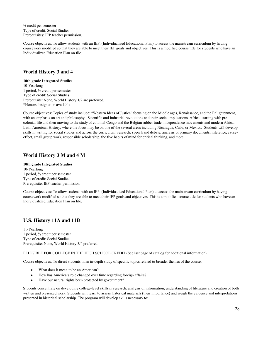½ credit per semester Type of credit: Social Studies Prerequisites: IEP teacher permission.

Course objectives: To allow students with an IEP, (Individualized Educational Plan) to access the mainstream curriculum by having coursework modified so that they are able to meet their IEP goals and objectives. This is a modified course title for students who have an Individualized Education Plan on file.

#### **World History 3 and 4**

**10th grade Integrated Studies** 10-Yearlong 1 period, ½ credit per semester Type of credit: Social Studies Prerequisite: None, World History 1/2 are preferred. \*Honors designation available

Course objectives: Topics of study include: "Western Ideas of Justice" focusing on the Middle ages, Renaissance, and the Enlightenment, with an emphasis on art and philosophy. Scientific and Industrial revolutions and their social implications, Africa- starting with precolonial life and then moving to the study of colonial Congo and the Belgian rubber trade, independence movements and modern Africa. Latin American History, where the focus may be on one of the several areas including Nicaragua, Cuba, or Mexico. Students will develop skills in writing for social studies and across the curriculum, research, speech and debate, analysis of primary documents, inference, causeeffect, small group work, responsible scholarship, the five habits of mind for critical thinking, and more.

#### **World History 3 M and 4 M**

#### **10th grade Integrated Studies** 10-Yearlong 1 period, ½ credit per semester Type of credit: Social Studies

Prerequisite: IEP teacher permission.

Course objectives: To allow students with an IEP, (Individualized Educational Plan) to access the mainstream curriculum by having coursework modified so that they are able to meet their IEP goals and objectives. This is a modified course title for students who have an Individualized Education Plan on file.

#### **U.S. History 11A and 11B**

11-Yearlong 1 period, ½ credit per semester Type of credit: Social Studies Prerequisite: None, World History 3/4 preferred.

ELLIGIBLE FOR COLLEGE IN THE HIGH SCHOOL CREDIT (See last page of catalog for additional information).

Course objectives: To direct students in an in-depth study of specific topics related to broader themes of the course:

- What does it mean to be an American?
- How has America's role changed over time regarding foreign affairs?
- Have our natural rights been protected by government?

Students concentrate on developing college-level skills in research, analysis of information, understanding of literature and creation of both written and presented work. Students will learn to assess historical materials (their importance) and weigh the evidence and interpretations presented in historical scholarship. The program will develop skills necessary to: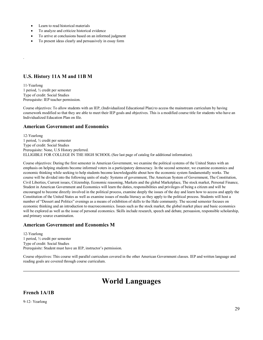- Learn to read historical materials
- To analyze and criticize historical evidence
- To arrive at conclusions based on an informed judgment
- To present ideas clearly and persuasively in essay form

#### **U.S. History 11A M and 11B M**

11-Yearlong 1 period, ½ credit per semester Type of credit: Social Studies Prerequisite: IEP teacher permission.

.

Course objectives: To allow students with an IEP, (Individualized Educational Plan) to access the mainstream curriculum by having coursework modified so that they are able to meet their IEP goals and objectives. This is a modified course title for students who have an Individualized Education Plan on file.

#### **American Government and Economics**

12-Yearlong 1 period, ½ credit per semester Type of credit: Social Studies Prerequisite: None, U.S History preferred. ELLIGIBLE FOR COLLEGE IN THE HIGH SCHOOL (See last page of catalog for additional information).

Course objectives: During the first semester in American Government, we examine the political systems of the United States with an emphasis on helping students become informed voters in a participatory democracy. In the second semester, we examine economics and economic thinking while seeking to help students become knowledgeable about how the economic system fundamentally works. The course will be divided into the following units of study: Systems of government, The American System of Government, The Constitution, Civil Liberties, Current issues, Citizenship, Economic reasoning, Markets and the global Marketplace, The stock market, Personal Finance, Student in American Government and Economics will learn the duties, responsibilities and privileges of being a citizen and will be encouraged to become directly involved in the political process, examine deeply the issues of the day and learn how to access and apply the Constitution of the United States as well as examine issues of media literacy as they apply to the political process. Students will host a number of "Dessert and Politics" evenings as a means of exhibition of skills to the Hale community. The second semester focuses on economic thinking and an introduction to macroeconomics. Issues such as the stock market, the global market place and basic economics will be explored as well as the issue of personal economics. Skills include research, speech and debate, persuasion, responsible scholarship, and primary source examination.

#### **American Government and Economics M**

12-Yearlong 1 period, ½ credit per semester Type of credit: Social Studies Prerequisite: Student must have an IEP, instructor's permission.

Course objectives: This course will parallel curriculum covered in the other American Government classes. IEP and written language and reading goals are covered through course curriculum.

## **World Languages**

#### <span id="page-28-0"></span>**French 1A/1B**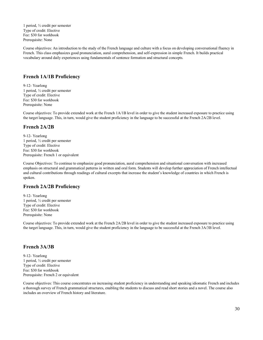1 period, ½ credit per semester Type of credit: Elective Fee: \$30 for workbook Prerequisite: None

Course objectives: An introduction to the study of the French language and culture with a focus on developing conversational fluency in French. This class emphasizes good pronunciation, aural comprehension, and self-expression in simple French. It builds practical vocabulary around daily experiences using fundamentals of sentence formation and structural concepts.

#### **French 1A/1B Proficiency**

9-12- Yearlong 1 period, ½ credit per semester Type of credit: Elective Fee: \$30 for workbook Prerequisite: None

Course objectives: To provide extended work at the French 1A/1B level in order to give the student increased exposure to practice using the target language. This, in turn, would give the student proficiency in the language to be successful at the French 2A/2B level.

#### **French 2A/2B**

9-12- Yearlong 1 period, ½ credit per semester Type of credit: Elective Fee: \$30 for workbook Prerequisite: French 1 or equivalent

Course Objectives: To continue to emphasize good pronunciation, aural comprehension and situational conversation with increased emphasis on structural and grammatical patterns in written and oral form. Students will develop further appreciation of French intellectual and cultural contributions through readings of cultural excerpts that increase the student's knowledge of countries in which French is spoken.

#### **French 2A/2B Proficiency**

9-12- Yearlong 1 period, ½ credit per semester Type of credit: Elective Fee: \$30 for workbook Prerequisite: None

Course objectives: To provide extended work at the French 2A/2B level in order to give the student increased exposure to practice using the target language. This, in turn, would give the student proficiency in the language to be successful at the French 3A/3B level.

#### **French 3A/3B**

9-12- Yearlong 1 period, ½ credit per semester Type of credit: Elective Fee: \$30 for workbook Prerequisite: French 2 or equivalent

Course objectives: This course concentrates on increasing student proficiency in understanding and speaking idiomatic French and includes a thorough survey of French grammatical structures, enabling the students to discuss and read short stories and a novel. The course also includes an overview of French history and literature.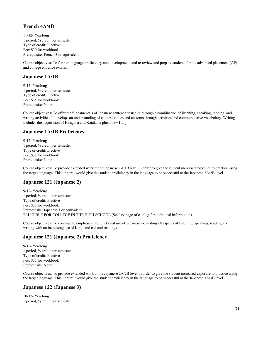#### **French 4A/4B**

11-12- Yearlong 1 period, ½ credit per semester Type of credit: Elective Fee: \$30 for workbook Prerequisite: French 3 or equivalent

Course objectives: To further language proficiency and development, and to review and prepare students for the advanced placement (AP) and college entrance exams.

#### **Japanese 1A/1B**

9-12- Yearlong 1 period, ½ credit per semester Type of credit: Elective Fee: \$35 for workbook Prerequisite: None

Course objectives: To offer the fundamentals of Japanese sentence structure through a combination of listening, speaking, reading, and writing activities. It develops an understanding of cultural values and customs through activities and communicative vocabulary. Writing includes the acquisition of Hiragana and Katakana plus a few Kanji.

#### **Japanese 1A/1B Proficiency**

9-12- Yearlong 1 period, ½ credit per semester Type of credit: Elective Fee: \$35 for workbook Prerequisite: None

Course objectives: To provide extended work at the Japanese 1A/1B level in order to give the student increased exposure to practice using the target language. This, in turn, would give the student proficiency in the language to be successful at the Japanese 2A/2B level.

#### **Japanese 121 (Japanese 2)**

9-12- Yearlong 1 period, ½ credit per semester Type of credit: Elective Fee: \$35 for workbook Prerequisite: Japanese 1 or equivalent ELLIGIBLE FOR COLLEGE IN THE HIGH SCHOOL (See last page of catalog for additional information)

Course objectives: To continue to emphasize the functional use of Japanese expanding all aspects of listening, speaking, reading and writing with an increasing use of Kanji and cultural readings.

#### **Japanese 121 (Japanese 2) Proficiency**

9-12- Yearlong 1 period, ½ credit per semester Type of credit: Elective Fee: \$35 for workbook Prerequisite: None

Course objectives: To provide extended work at the Japanese 2A/2B level in order to give the student increased exposure to practice using the target language. This, in turn, would give the student proficiency in the language to be successful at the Japanese 3A/3B level.

#### **Japanese 122 (Japanese 3)**

10-12- Yearlong 1 period, ½ credit per semester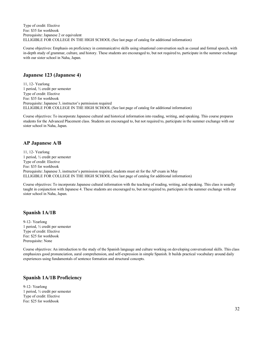Type of credit: Elective Fee: \$35 for workbook Prerequisite: Japanese 2 or equivalent ELLIGIBLE FOR COLLEGE IN THE HIGH SCHOOL (See last page of catalog for additional information)

Course objectives: Emphasis on proficiency in communicative skills using situational conversation such as casual and formal speech, with in-depth study of grammar, culture, and history. These students are encouraged to, but not required to, participate in the summer exchange with our sister school in Naha, Japan.

#### **Japanese 123 (Japanese 4)**

11, 12- Yearlong 1 period, ½ credit per semester Type of credit: Elective Fee: \$35 for workbook Prerequisite: Japanese 3, instructor's permission required ELLIGIBLE FOR COLLEGE IN THE HIGH SCHOOL (See last page of catalog for additional information)

Course objectives: To incorporate Japanese cultural and historical information into reading, writing, and speaking. This course prepares students for the Advanced Placement class. Students are encouraged to, but not required to, participate in the summer exchange with our sister school in Naha, Japan.

#### **AP Japanese A/B**

11, 12- Yearlong 1 period, ½ credit per semester Type of credit: Elective Fee: \$35 for workbook Prerequisite: Japanese 3, instructor's permission required, students must sit for the AP exam in May ELLIGIBLE FOR COLLEGE IN THE HIGH SCHOOL (See last page of catalog for additional information)

Course objectives: To incorporate Japanese cultural information with the teaching of reading, writing, and speaking. This class is usually taught in conjunction with Japanese 4. These students are encouraged to, but not required to, participate in the summer exchange with our sister school in Naha, Japan.

#### **Spanish 1A/1B**

9-12- Yearlong 1 period, ½ credit per semester Type of credit: Elective Fee: \$25 for workbook Prerequisite: None

Course objectives: An introduction to the study of the Spanish language and culture working on developing conversational skills. This class emphasizes good pronunciation, aural comprehension, and self-expression in simple Spanish. It builds practical vocabulary around daily experiences using fundamentals of sentence formation and structural concepts.

#### **Spanish 1A/1B Proficiency**

9-12- Yearlong 1 period, ½ credit per semester Type of credit: Elective Fee: \$25 for workbook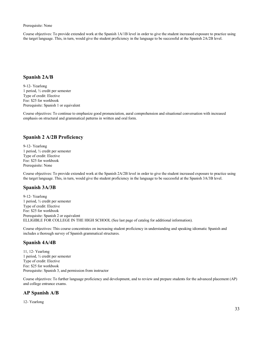Prerequisite: None

Course objectives: To provide extended work at the Spanish 1A/1B level in order to give the student increased exposure to practice using the target language. This, in turn, would give the student proficiency in the language to be successful at the Spanish 2A/2B level.

#### **Spanish 2A/B**

9-12- Yearlong 1 period, ½ credit per semester Type of credit: Elective Fee: \$25 for workbook Prerequisite: Spanish 1 or equivalent

Course objectives: To continue to emphasize good pronunciation, aural comprehension and situational conversation with increased emphasis on structural and grammatical patterns in written and oral form.

#### **Spanish 2 A/2B Proficiency**

9-12- Yearlong 1 period, ½ credit per semester Type of credit: Elective Fee: \$25 for workbook Prerequisite: None

Course objectives: To provide extended work at the Spanish 2A/2B level in order to give the student increased exposure to practice using the target language. This, in turn, would give the student proficiency in the language to be successful at the Spanish 3A/3B level.

#### **Spanish 3A/3B**

9-12- Yearlong 1 period, ½ credit per semester Type of credit: Elective Fee: \$25 for workbook Prerequisite: Spanish 2 or equivalent ELLIGIBLE FOR COLLEGE IN THE HIGH SCHOOL (See last page of catalog for additional information).

Course objectives: This course concentrates on increasing student proficiency in understanding and speaking idiomatic Spanish and includes a thorough survey of Spanish grammatical structures.

#### **Spanish 4A/4B**

11, 12- Yearlong 1 period, ½ credit per semester Type of credit: Elective Fee: \$25 for workbook Prerequisite: Spanish 3, and permission from instructor

Course objectives: To further language proficiency and development, and to review and prepare students for the advanced placement (AP) and college entrance exams.

#### **AP Spanish A/B**

12- Yearlong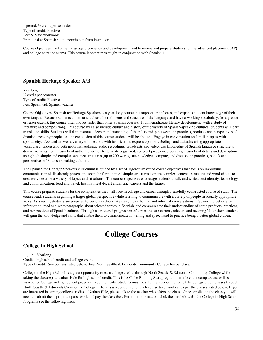1 period, ½ credit per semester Type of credit: Elective Fee: \$35 for workbook Prerequisite: Spanish 4, and permission from instructor

Course objectives: To further language proficiency and development, and to review and prepare students for the advanced placement (AP) and college entrance exams. This course is sometimes taught in conjunction with Spanish 4.

#### **Spanish Heritage Speaker A/B**

Yearlong ½ credit per semester Type of credit: Elective Fee: Speak with Spanish teacher

Course Objectives: Spanish for Heritage Speakers is a year-long course that supports, reinforces, and expands student knowledge of their own tongue. Because students understand at least the rudiments and structure of the language and have a working vocabulary, (to a greater or lesser extent), this course often moves faster than other Spanish courses. It will emphasize literary development (with a study of literature and composition). This course will also include culture and history of the variety of Spanish-speaking cultures. Students will learn translation skills. Students will demonstrate a deeper understanding of the relationship between the practices, products and perspectives of Spanish-speaking people. At the conclusion of this course students will be able to: -Engage in conversation on familiar topics with spontaneity, -Ask and answer a variety of questions with justification, express opinions, feelings and attitudes using appropriate vocabulary, understand both in/formal authentic audio recordings, broadcasts and video, use knowledge of Spanish language structure to derive meaning from a variety of authentic written text, write organized, coherent pieces incorporating a variety of details and description using both simple and complex sentence structures (up to 200 words), acknowledge, compare, and discuss the practices, beliefs and perspectives of Spanish-speaking cultures.

The Spanish for Heritage Speakers curriculum is guided by a set of rigorously vetted course objectives that focus on improving communication skills already present and span the formation of simple structures to more complex sentence structure and word choice to creatively describe a variety of topics and situations. The course objectives encourage students to talk and write about identity, technology and communication, food and travel, healthy lifestyle, art and music, careers and the future.

This course prepares students for the complexities they will face in college and career through a carefully constructed course of study. The course leads students in gaining a larger global perspective while learning to communicate with a variety of people in socially appropriate ways. As a result, students are prepared to perform actions like carrying on formal and informal conversations in Spanish to get or give information, read and write paragraphs about selected topics in Spanish, and communicate their understanding of some products, practices, and perspectives of Spanish culture. Through a structured progression of topics that are current, relevant and meaningful for them, students will gain the knowledge and skills that enable them to communicate in writing and speech and to practice being a better global citizen.

# **College Courses**

#### <span id="page-33-0"></span>**College in High School**

11, 12 – Yearlong Credits: high school credit and college credit Type of credit: See courses listed below. Fee: North Seattle & Edmonds Community College fee per class.

College in the High School is a great opportunity to earn college credits through North Seattle & Edmonds Community College while taking the class(es) at Nathan Hale for high school credit. This is NOT the Running Start program; therefore, the compass test will be waived for College in High School program. Requirements: Students must be a 10th grader or higher to take college credit classes through North Seattle & Edmonds Community College. There is a required fee for each course taken and varies per the classes listed below. If you are interested in earning college credits at Nathan Hale, please talk to the teacher who offers the class. Once enrolled in the class you will need to submit the appropriate paperwork and pay the class fees. For more information, click the link below for the College in High School Programs see the following links: